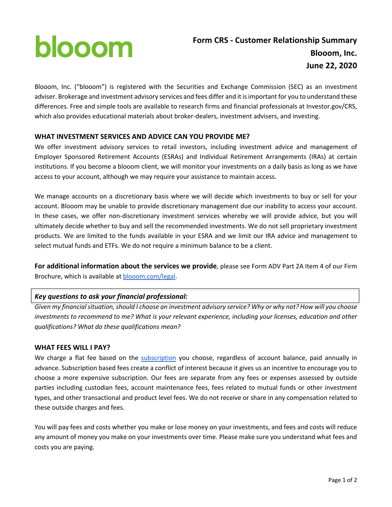# blooom

Blooom, Inc. ("blooom") is registered with the Securities and Exchange Commission (SEC) as an investment adviser. Brokerage and investment advisory services and fees differ and it is important for you to understand these differences. Free and simple tools are available to research firms and financial professionals at Investor.gov/CRS, which also provides educational materials about broker-dealers, investment advisers, and investing.

# **WHAT INVESTMENT SERVICES AND ADVICE CAN YOU PROVIDE ME?**

We offer investment advisory services to retail investors, including investment advice and management of Employer Sponsored Retirement Accounts (ESRAs) and Individual Retirement Arrangements (IRAs) at certain institutions. If you become a blooom client, we will monitor your investments on a daily basis as long as we have access to your account, although we may require your assistance to maintain access.

We manage accounts on a discretionary basis where we will decide which investments to buy or sell for your account. Blooom may be unable to provide discretionary management due our inability to access your account. In these cases, we offer non-discretionary investment services whereby we will provide advice, but you will ultimately decide whether to buy and sell the recommended investments. We do not sell proprietary investment products. We are limited to the funds available in your ESRA and we limit our IRA advice and management to select mutual funds and ETFs. We do not require a minimum balance to be a client.

**For additional information about the services we provide**, please see Form ADV Part 2A Item 4 of our Firm Brochure, which is available at [blooom.com/legal](https://www.blooom.com/legal/).

# *Key questions to ask your financial professional:*

*Given my financial situation, should I choose an investment advisory service? Why or why not? How will you choose investments to recommend to me? What is your relevant experience, including your licenses, education and other qualifications? What do these qualifications mean?*

# **WHAT FEES WILL I PAY?**

We charge a flat fee based on the [subscription](https://www.blooom.com/pricing/) you choose, regardless of account balance, paid annually in advance. Subscription based fees create a conflict of interest because it gives us an incentive to encourage you to choose a more expensive subscription. Our fees are separate from any fees or expenses assessed by outside parties including custodian fees, account maintenance fees, fees related to mutual funds or other investment types, and other transactional and product level fees. We do not receive or share in any compensation related to these outside charges and fees.

You will pay fees and costs whether you make or lose money on your investments, and fees and costs will reduce any amount of money you make on your investments over time. Please make sure you understand what fees and costs you are paying.